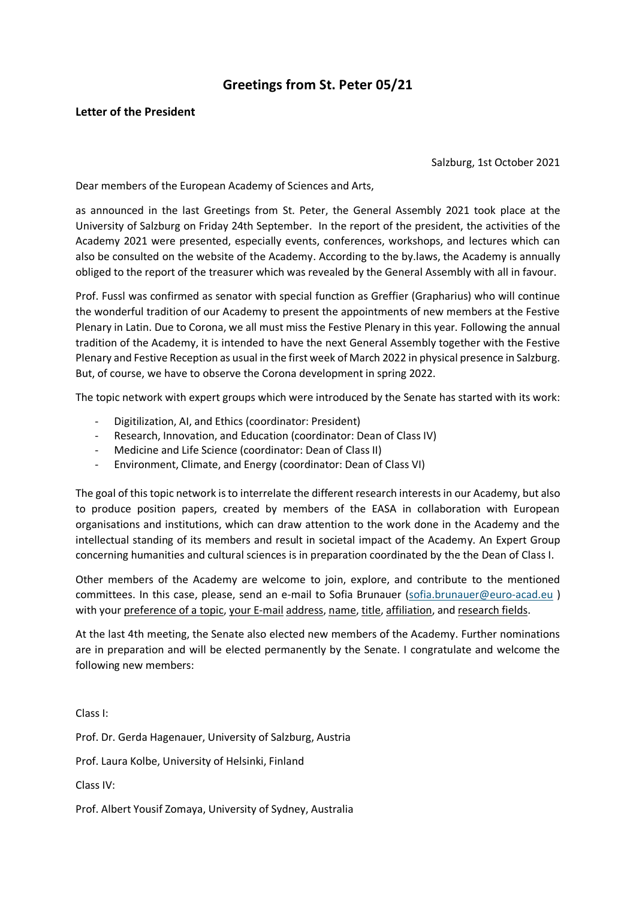# **Greetings from St. Peter 05/21**

# **Letter of the President**

Salzburg, 1st October 2021

Dear members of the European Academy of Sciences and Arts,

as announced in the last Greetings from St. Peter, the General Assembly 2021 took place at the University of Salzburg on Friday 24th September. In the report of the president, the activities of the Academy 2021 were presented, especially events, conferences, workshops, and lectures which can also be consulted on the website of the Academy. According to the by.laws, the Academy is annually obliged to the report of the treasurer which was revealed by the General Assembly with all in favour.

Prof. Fussl was confirmed as senator with special function as Greffier (Grapharius) who will continue the wonderful tradition of our Academy to present the appointments of new members at the Festive Plenary in Latin. Due to Corona, we all must miss the Festive Plenary in this year. Following the annual tradition of the Academy, it is intended to have the next General Assembly together with the Festive Plenary and Festive Reception as usual in the first week of March 2022 in physical presence in Salzburg. But, of course, we have to observe the Corona development in spring 2022.

The topic network with expert groups which were introduced by the Senate has started with its work:

- Digitilization, AI, and Ethics (coordinator: President)
- Research, Innovation, and Education (coordinator: Dean of Class IV)
- Medicine and Life Science (coordinator: Dean of Class II)
- Environment, Climate, and Energy (coordinator: Dean of Class VI)

The goal of this topic network is to interrelate the different research interests in our Academy, but also to produce position papers, created by members of the EASA in collaboration with European organisations and institutions, which can draw attention to the work done in the Academy and the intellectual standing of its members and result in societal impact of the Academy. An Expert Group concerning humanities and cultural sciences is in preparation coordinated by the the Dean of Class I.

Other members of the Academy are welcome to join, explore, and contribute to the mentioned committees. In this case, please, send an e-mail to Sofia Brunauer [\(sofia.brunauer@euro-acad.eu](mailto:sofia.brunauer@euro-acad.eu) ) with your preference of a topic, your E-mail address, name, title, affiliation, and research fields.

At the last 4th meeting, the Senate also elected new members of the Academy. Further nominations are in preparation and will be elected permanently by the Senate. I congratulate and welcome the following new members:

Class I:

Prof. Dr. Gerda Hagenauer, University of Salzburg, Austria

Prof. Laura Kolbe, University of Helsinki, Finland

Class IV:

Prof. Albert Yousif Zomaya, University of Sydney, Australia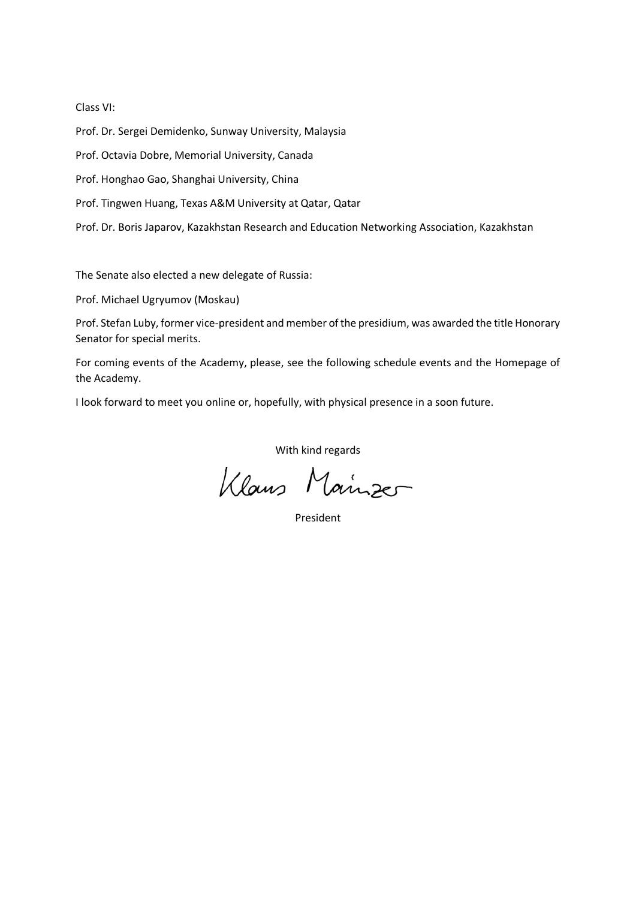#### Class VI:

Prof. Dr. Sergei Demidenko, Sunway University, Malaysia

Prof. Octavia Dobre, Memorial University, Canada

Prof. Honghao Gao, Shanghai University, China

Prof. Tingwen Huang, Texas A&M University at Qatar, Qatar

Prof. Dr. Boris Japarov, Kazakhstan Research and Education Networking Association, Kazakhstan

The Senate also elected a new delegate of Russia:

Prof. Michael Ugryumov (Moskau)

Prof. Stefan Luby, former vice-president and member of the presidium, was awarded the title Honorary Senator for special merits.

For coming events of the Academy, please, see the following schedule events and the Homepage of the Academy.

I look forward to meet you online or, hopefully, with physical presence in a soon future.

With kind regards

Klaus Mainzer

President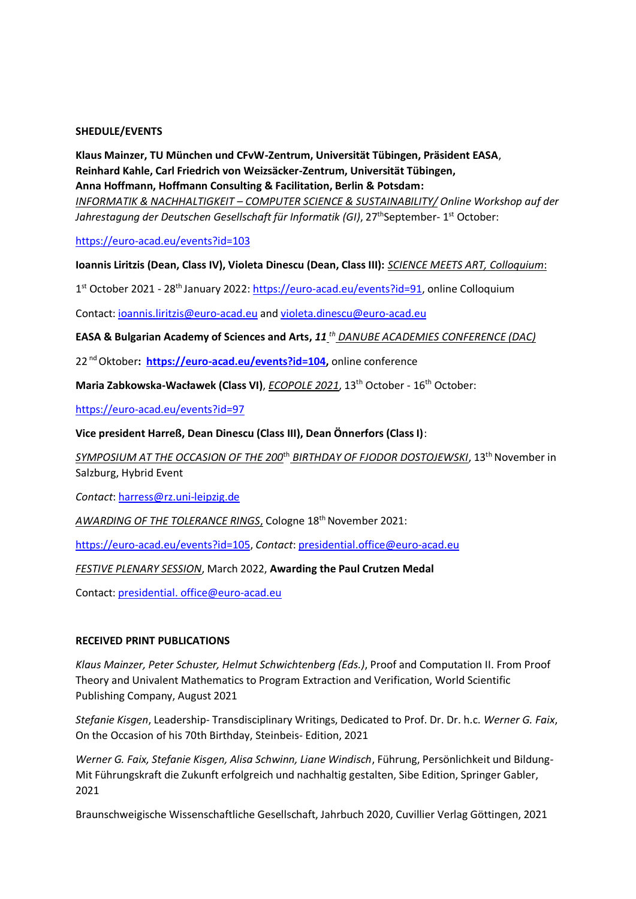## **SHEDULE/EVENTS**

**Klaus Mainzer, TU München und CFvW-Zentrum, Universität Tübingen, Präsident EASA**, **Reinhard Kahle, Carl Friedrich von Weizsäcker-Zentrum, Universität Tübingen, Anna Hoffmann, Hoffmann Consulting & Facilitation, Berlin & Potsdam:** *INFORMATIK & NACHHALTIGKEIT – COMPUTER SCIENCE & SUSTAINABILITY/ Online Workshop auf der* Jahrestagung der Deutschen Gesellschaft für Informatik (GI), 27<sup>th</sup>September- 1<sup>st</sup> October:

<https://euro-acad.eu/events?id=103>

## **Ioannis Liritzis (Dean, Class IV), Violeta Dinescu (Dean, Class III):** *SCIENCE MEETS ART, Colloquium*:

1<sup>st</sup> October 2021 - 28<sup>th</sup> January 2022: [https://euro-acad.eu/events?id=91,](https://euro-acad.eu/events?id=91) online Colloquium

Contact: [ioannis.liritzis@euro-acad.eu](mailto:ioannis.liritzis@euro-acad.eu) and violeta.dinescu@euro-acad.eu

**EASA & Bulgarian Academy of Sciences and Arts,** *11 th DANUBE ACADEMIES CONFERENCE (DAC)*

22 nd Oktober**: [https://euro-acad.eu/events?id=104,](https://euro-acad.eu/events?id=104)** online conference

**Maria Zabkowska-Wacławek (Class VI)**, *ECOPOLE 2021*, 13th October - 16th October:

<https://euro-acad.eu/events?id=97>

**Vice president Harreß, Dean Dinescu (Class III), Dean Önnerfors (Class I)**:

*SYMPOSIUM AT THE OCCASION OF THE 200*th *BIRTHDAY OF FJODOR DOSTOJEWSKI*, 13th November in Salzburg, Hybrid Event

*Contact*: [harress@rz.uni-leipzig.de](mailto:harress@rz.uni-leipzig.de)

*AWARDING OF THE TOLERANCE RINGS*, Cologne 18th November 2021:

[https://euro-acad.eu/events?id=105,](https://euro-acad.eu/events?id=105) *Contact*[: presidential.office@euro-acad.eu](mailto:presidential.office@euro-acad.eu)

## *FESTIVE PLENARY SESSION*, March 2022, **Awarding the Paul Crutzen Medal**

Contact: presidential. office@euro-acad.eu

## **RECEIVED PRINT PUBLICATIONS**

*Klaus Mainzer, Peter Schuster, Helmut Schwichtenberg (Eds.)*, Proof and Computation II. From Proof Theory and Univalent Mathematics to Program Extraction and Verification, World Scientific Publishing Company, August 2021

*Stefanie Kisgen*, Leadership- Transdisciplinary Writings, Dedicated to Prof. Dr. Dr. h.c. *Werner G. Faix*, On the Occasion of his 70th Birthday, Steinbeis- Edition, 2021

*Werner G. Faix, Stefanie Kisgen, Alisa Schwinn, Liane Windisch*, Führung, Persönlichkeit und Bildung-Mit Führungskraft die Zukunft erfolgreich und nachhaltig gestalten, Sibe Edition, Springer Gabler, 2021

Braunschweigische Wissenschaftliche Gesellschaft, Jahrbuch 2020, Cuvillier Verlag Göttingen, 2021